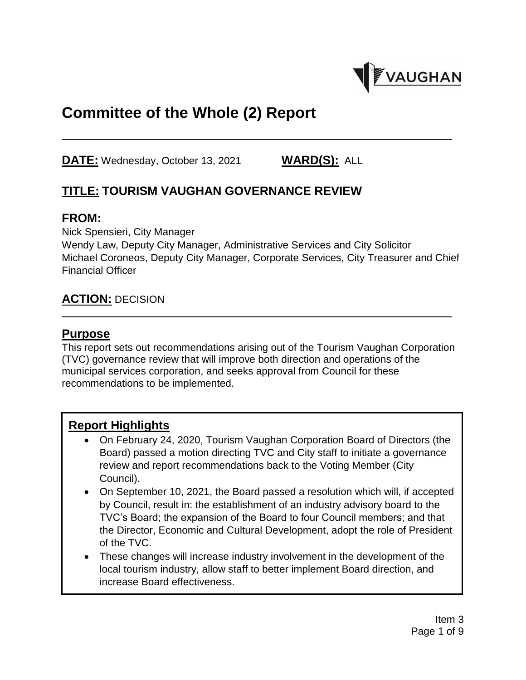

# **Committee of the Whole (2) Report**

**DATE:** Wednesday, October 13, 2021 **WARD(S):** ALL

# **TITLE: TOURISM VAUGHAN GOVERNANCE REVIEW**

#### **FROM:**

Nick Spensieri, City Manager

Wendy Law, Deputy City Manager, Administrative Services and City Solicitor Michael Coroneos, Deputy City Manager, Corporate Services, City Treasurer and Chief Financial Officer

### **ACTION:** DECISION

#### **Purpose**

This report sets out recommendations arising out of the Tourism Vaughan Corporation (TVC) governance review that will improve both direction and operations of the municipal services corporation, and seeks approval from Council for these recommendations to be implemented.

#### **Report Highlights**

- On February 24, 2020, Tourism Vaughan Corporation Board of Directors (the Board) passed a motion directing TVC and City staff to initiate a governance review and report recommendations back to the Voting Member (City Council).
- On September 10, 2021, the Board passed a resolution which will, if accepted by Council, result in: the establishment of an industry advisory board to the TVC's Board; the expansion of the Board to four Council members; and that the Director, Economic and Cultural Development, adopt the role of President of the TVC.
- These changes will increase industry involvement in the development of the local tourism industry, allow staff to better implement Board direction, and increase Board effectiveness.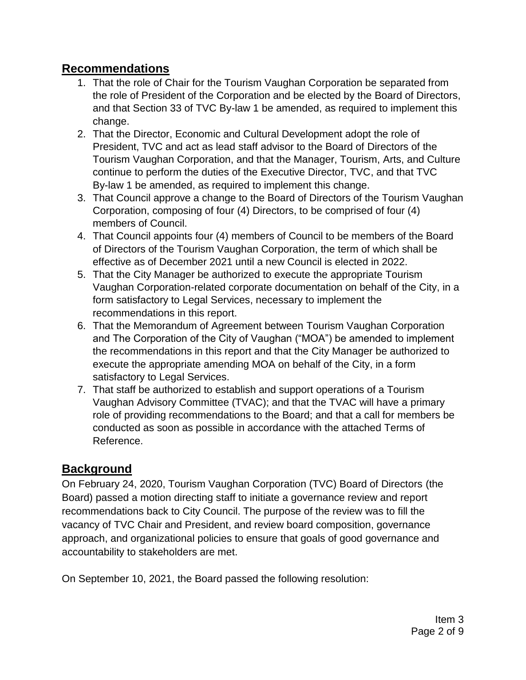### **Recommendations**

- 1. That the role of Chair for the Tourism Vaughan Corporation be separated from the role of President of the Corporation and be elected by the Board of Directors, and that Section 33 of TVC By-law 1 be amended, as required to implement this change.
- 2. That the Director, Economic and Cultural Development adopt the role of President, TVC and act as lead staff advisor to the Board of Directors of the Tourism Vaughan Corporation, and that the Manager, Tourism, Arts, and Culture continue to perform the duties of the Executive Director, TVC, and that TVC By-law 1 be amended, as required to implement this change.
- 3. That Council approve a change to the Board of Directors of the Tourism Vaughan Corporation, composing of four (4) Directors, to be comprised of four (4) members of Council.
- 4. That Council appoints four (4) members of Council to be members of the Board of Directors of the Tourism Vaughan Corporation, the term of which shall be effective as of December 2021 until a new Council is elected in 2022.
- 5. That the City Manager be authorized to execute the appropriate Tourism Vaughan Corporation-related corporate documentation on behalf of the City, in a form satisfactory to Legal Services, necessary to implement the recommendations in this report.
- 6. That the Memorandum of Agreement between Tourism Vaughan Corporation and The Corporation of the City of Vaughan ("MOA") be amended to implement the recommendations in this report and that the City Manager be authorized to execute the appropriate amending MOA on behalf of the City, in a form satisfactory to Legal Services.
- 7. That staff be authorized to establish and support operations of a Tourism Vaughan Advisory Committee (TVAC); and that the TVAC will have a primary role of providing recommendations to the Board; and that a call for members be conducted as soon as possible in accordance with the attached Terms of Reference.

# **Background**

On February 24, 2020, Tourism Vaughan Corporation (TVC) Board of Directors (the Board) passed a motion directing staff to initiate a governance review and report recommendations back to City Council. The purpose of the review was to fill the vacancy of TVC Chair and President, and review board composition, governance approach, and organizational policies to ensure that goals of good governance and accountability to stakeholders are met.

On September 10, 2021, the Board passed the following resolution: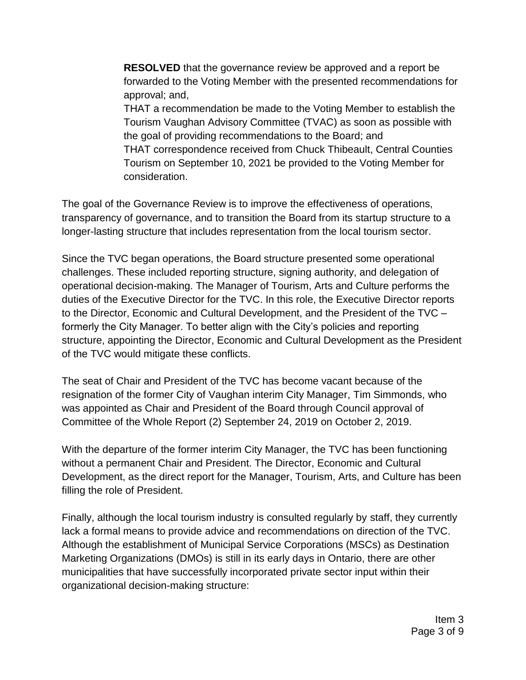**RESOLVED** that the governance review be approved and a report be forwarded to the Voting Member with the presented recommendations for approval; and,

THAT a recommendation be made to the Voting Member to establish the Tourism Vaughan Advisory Committee (TVAC) as soon as possible with the goal of providing recommendations to the Board; and THAT correspondence received from Chuck Thibeault, Central Counties Tourism on September 10, 2021 be provided to the Voting Member for consideration.

The goal of the Governance Review is to improve the effectiveness of operations, transparency of governance, and to transition the Board from its startup structure to a longer-lasting structure that includes representation from the local tourism sector.

Since the TVC began operations, the Board structure presented some operational challenges. These included reporting structure, signing authority, and delegation of operational decision-making. The Manager of Tourism, Arts and Culture performs the duties of the Executive Director for the TVC. In this role, the Executive Director reports to the Director, Economic and Cultural Development, and the President of the TVC – formerly the City Manager. To better align with the City's policies and reporting structure, appointing the Director, Economic and Cultural Development as the President of the TVC would mitigate these conflicts.

The seat of Chair and President of the TVC has become vacant because of the resignation of the former City of Vaughan interim City Manager, Tim Simmonds, who was appointed as Chair and President of the Board through Council approval of Committee of the Whole Report (2) September 24, 2019 on October 2, 2019.

With the departure of the former interim City Manager, the TVC has been functioning without a permanent Chair and President. The Director, Economic and Cultural Development, as the direct report for the Manager, Tourism, Arts, and Culture has been filling the role of President.

Finally, although the local tourism industry is consulted regularly by staff, they currently lack a formal means to provide advice and recommendations on direction of the TVC. Although the establishment of Municipal Service Corporations (MSCs) as Destination Marketing Organizations (DMOs) is still in its early days in Ontario, there are other municipalities that have successfully incorporated private sector input within their organizational decision-making structure: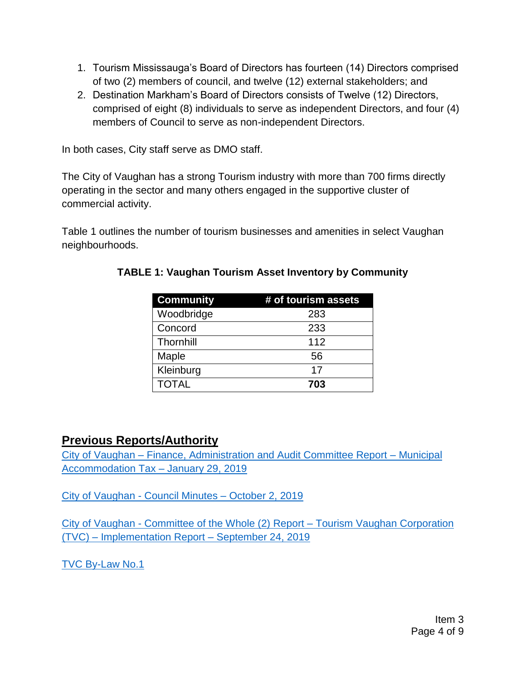- 1. Tourism Mississauga's Board of Directors has fourteen (14) Directors comprised of two (2) members of council, and twelve (12) external stakeholders; and
- 2. Destination Markham's Board of Directors consists of Twelve (12) Directors, comprised of eight (8) individuals to serve as independent Directors, and four (4) members of Council to serve as non-independent Directors.

In both cases, City staff serve as DMO staff.

The City of Vaughan has a strong Tourism industry with more than 700 firms directly operating in the sector and many others engaged in the supportive cluster of commercial activity.

Table 1 outlines the number of tourism businesses and amenities in select Vaughan neighbourhoods.

| <b>Community</b> | # of tourism assets |
|------------------|---------------------|
| Woodbridge       | 283                 |
| Concord          | 233                 |
| Thornhill        | 112                 |
| Maple            | 56                  |
| Kleinburg        | 17                  |
| <b>TOTAL</b>     | 703                 |

#### **TABLE 1: Vaughan Tourism Asset Inventory by Community**

#### **Previous Reports/Authority**

City of Vaughan – [Finance, Administration and Audit Committee Report –](https://pub-vaughan.escribemeetings.com/filestream.ashx?DocumentId=22753) Municipal [Accommodation Tax –](https://pub-vaughan.escribemeetings.com/filestream.ashx?DocumentId=22753) January 29, 2019

City of Vaughan - [Council Minutes –](https://pub-vaughan.escribemeetings.com/FileStream.ashx?DocumentId=22088) October 2, 2019

City of Vaughan - [Committee of the Whole \(2\) Report –](https://pub-vaughan.escribemeetings.com/filestream.ashx?DocumentId=21962) Tourism Vaughan Corporation (TVC) – [Implementation Report –](https://pub-vaughan.escribemeetings.com/filestream.ashx?DocumentId=21962) September 24, 2019

[TVC By-Law No.1](https://www.vaughan.ca/business/art-culture/tourism/General%20Documents/Governing%20Documents/By-law%20No.%201.pdf)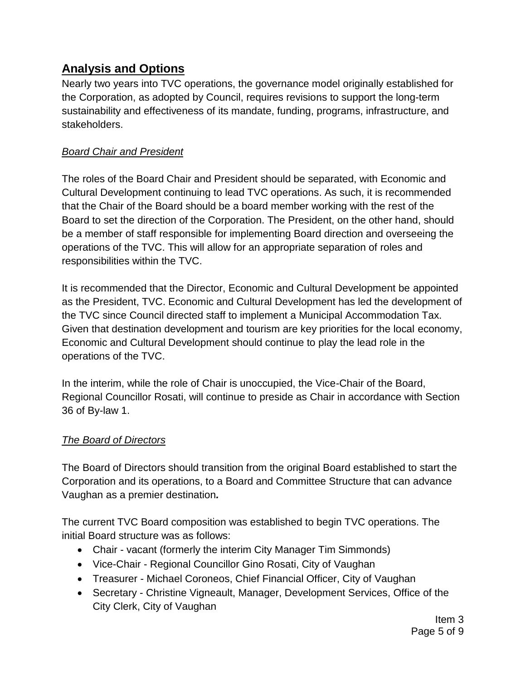### **Analysis and Options**

Nearly two years into TVC operations, the governance model originally established for the Corporation, as adopted by Council, requires revisions to support the long-term sustainability and effectiveness of its mandate, funding, programs, infrastructure, and stakeholders.

#### *Board Chair and President*

The roles of the Board Chair and President should be separated, with Economic and Cultural Development continuing to lead TVC operations. As such, it is recommended that the Chair of the Board should be a board member working with the rest of the Board to set the direction of the Corporation. The President, on the other hand, should be a member of staff responsible for implementing Board direction and overseeing the operations of the TVC. This will allow for an appropriate separation of roles and responsibilities within the TVC.

It is recommended that the Director, Economic and Cultural Development be appointed as the President, TVC. Economic and Cultural Development has led the development of the TVC since Council directed staff to implement a Municipal Accommodation Tax. Given that destination development and tourism are key priorities for the local economy, Economic and Cultural Development should continue to play the lead role in the operations of the TVC.

In the interim, while the role of Chair is unoccupied, the Vice-Chair of the Board, Regional Councillor Rosati, will continue to preside as Chair in accordance with Section 36 of By-law 1.

#### *The Board of Directors*

The Board of Directors should transition from the original Board established to start the Corporation and its operations, to a Board and Committee Structure that can advance Vaughan as a premier destination*.*

The current TVC Board composition was established to begin TVC operations. The initial Board structure was as follows:

- Chair vacant (formerly the interim City Manager Tim Simmonds)
- Vice-Chair Regional Councillor Gino Rosati, City of Vaughan
- Treasurer Michael Coroneos, Chief Financial Officer, City of Vaughan
- Secretary Christine Vigneault, Manager, Development Services, Office of the City Clerk, City of Vaughan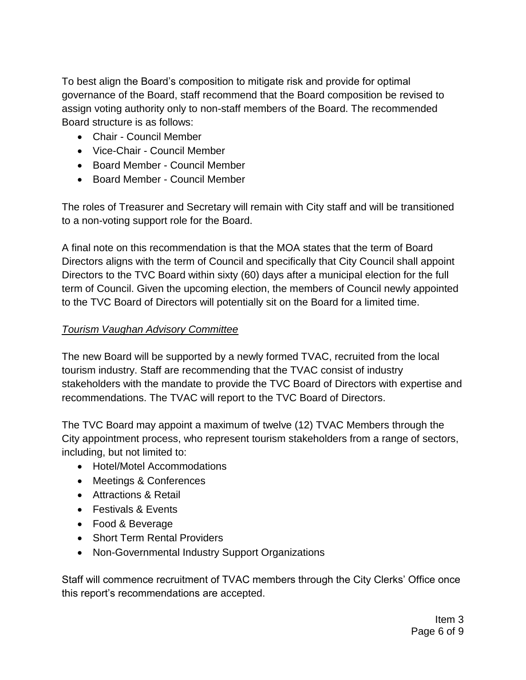To best align the Board's composition to mitigate risk and provide for optimal governance of the Board, staff recommend that the Board composition be revised to assign voting authority only to non-staff members of the Board. The recommended Board structure is as follows:

- Chair Council Member
- Vice-Chair Council Member
- Board Member Council Member
- Board Member Council Member

The roles of Treasurer and Secretary will remain with City staff and will be transitioned to a non-voting support role for the Board.

A final note on this recommendation is that the MOA states that the term of Board Directors aligns with the term of Council and specifically that City Council shall appoint Directors to the TVC Board within sixty (60) days after a municipal election for the full term of Council. Given the upcoming election, the members of Council newly appointed to the TVC Board of Directors will potentially sit on the Board for a limited time.

#### *Tourism Vaughan Advisory Committee*

The new Board will be supported by a newly formed TVAC, recruited from the local tourism industry. Staff are recommending that the TVAC consist of industry stakeholders with the mandate to provide the TVC Board of Directors with expertise and recommendations. The TVAC will report to the TVC Board of Directors.

The TVC Board may appoint a maximum of twelve (12) TVAC Members through the City appointment process, who represent tourism stakeholders from a range of sectors, including, but not limited to:

- Hotel/Motel Accommodations
- Meetings & Conferences
- Attractions & Retail
- Festivals & Events
- Food & Beverage
- Short Term Rental Providers
- Non-Governmental Industry Support Organizations

Staff will commence recruitment of TVAC members through the City Clerks' Office once this report's recommendations are accepted.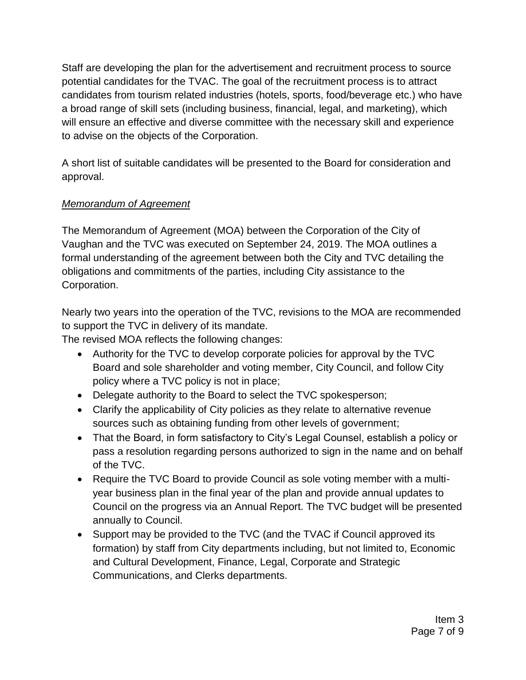Staff are developing the plan for the advertisement and recruitment process to source potential candidates for the TVAC. The goal of the recruitment process is to attract candidates from tourism related industries (hotels, sports, food/beverage etc.) who have a broad range of skill sets (including business, financial, legal, and marketing), which will ensure an effective and diverse committee with the necessary skill and experience to advise on the objects of the Corporation.

A short list of suitable candidates will be presented to the Board for consideration and approval.

#### *Memorandum of Agreement*

The Memorandum of Agreement (MOA) between the Corporation of the City of Vaughan and the TVC was executed on September 24, 2019. The MOA outlines a formal understanding of the agreement between both the City and TVC detailing the obligations and commitments of the parties, including City assistance to the Corporation.

Nearly two years into the operation of the TVC, revisions to the MOA are recommended to support the TVC in delivery of its mandate.

The revised MOA reflects the following changes:

- Authority for the TVC to develop corporate policies for approval by the TVC Board and sole shareholder and voting member, City Council, and follow City policy where a TVC policy is not in place;
- Delegate authority to the Board to select the TVC spokesperson;
- Clarify the applicability of City policies as they relate to alternative revenue sources such as obtaining funding from other levels of government;
- That the Board, in form satisfactory to City's Legal Counsel, establish a policy or pass a resolution regarding persons authorized to sign in the name and on behalf of the TVC.
- Require the TVC Board to provide Council as sole voting member with a multiyear business plan in the final year of the plan and provide annual updates to Council on the progress via an Annual Report. The TVC budget will be presented annually to Council.
- Support may be provided to the TVC (and the TVAC if Council approved its formation) by staff from City departments including, but not limited to, Economic and Cultural Development, Finance, Legal, Corporate and Strategic Communications, and Clerks departments.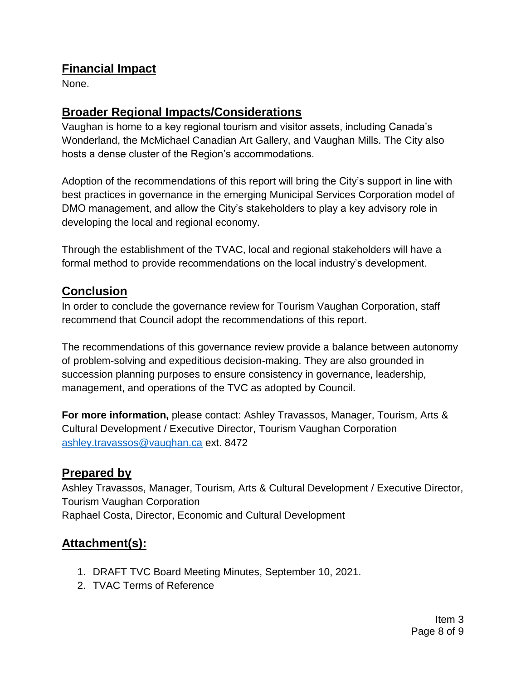### **Financial Impact**

None.

### **Broader Regional Impacts/Considerations**

Vaughan is home to a key regional tourism and visitor assets, including Canada's Wonderland, the McMichael Canadian Art Gallery, and Vaughan Mills. The City also hosts a dense cluster of the Region's accommodations.

Adoption of the recommendations of this report will bring the City's support in line with best practices in governance in the emerging Municipal Services Corporation model of DMO management, and allow the City's stakeholders to play a key advisory role in developing the local and regional economy.

Through the establishment of the TVAC, local and regional stakeholders will have a formal method to provide recommendations on the local industry's development.

### **Conclusion**

In order to conclude the governance review for Tourism Vaughan Corporation, staff recommend that Council adopt the recommendations of this report.

The recommendations of this governance review provide a balance between autonomy of problem-solving and expeditious decision-making. They are also grounded in succession planning purposes to ensure consistency in governance, leadership, management, and operations of the TVC as adopted by Council.

**For more information,** please contact: Ashley Travassos, Manager, Tourism, Arts & Cultural Development / Executive Director, Tourism Vaughan Corporation [ashley.travassos@vaughan.ca](mailto:ashley.travassos@vaughan.ca) ext. 8472

### **Prepared by**

Ashley Travassos, Manager, Tourism, Arts & Cultural Development / Executive Director, Tourism Vaughan Corporation Raphael Costa, Director, Economic and Cultural Development

# **Attachment(s):**

- 1. DRAFT TVC Board Meeting Minutes, September 10, 2021.
- 2. TVAC Terms of Reference